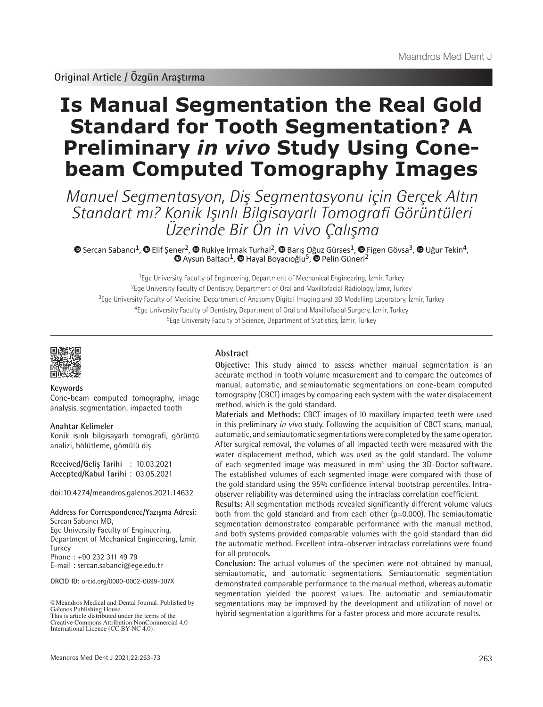# **Is Manual Segmentation the Real Gold Standard for Tooth Segmentation? A Preliminary** *in vivo* **Study Using Conebeam Computed Tomography Images**

Manuel Segmentasyon, Diş Segmentasyonu için Gerçek Altın Standart mı? Konik Işınlı Bilgisayarlı Tomografi Görüntüleri Üzerinde Bir Ön in vivo Çalışma

SercanSabancı<sup>1</sup>,  $\bullet$  Elif Şe[ner](https://orcid.org/0000-0002-9049-1610)<sup>2</sup>,  $\bullet$  Rukiye Irmak Turhal<sup>2</sup>,  $\bullet$  Barış Oğuz Gürses<sup>1</sup>,  $\bullet$  Figen Gövsa<sup>3</sup>,  $\bullet$  Uğur Tekin<sup>4</sup>, AysunBaltacı<sup>1</sup>, <sup>n</sup>Hayal Boyacıoğlu<sup>5</sup>, **n**Pelin Güneri<sup>2</sup>

Ege University Faculty of Engineering, Department of Mechanical Engineering, İzmir, Turkey Ege University Faculty of Dentistry, Department of Oral and Maxillofacial Radiology, İzmir, Turkey Ege University Faculty of Medicine, Department of Anatomy Digital Imaging and 3D Modelling Laboratory, İzmir, Turkey Ege University Faculty of Dentistry, Department of Oral and Maxillofacial Surgery, İzmir, Turkey Ege University Faculty of Science, Department of Statistics, İzmir, Turkey

#### **Keywords**

Cone-beam computed tomography, image analysis, segmentation, impacted tooth

## **Anahtar Kelimeler**

Konik ışınlı bilgisayarlı tomografi, görüntü analizi, bölütleme, gömülü diş

**Received/Geliş Tarihi** : 10.03.2021 **Accepted/Kabul Tarihi** : 03.05.2021

doi:10.4274/meandros.galenos.2021.14632

**Address for Correspondence/Yazışma Adresi:** Sercan Sabancı MD, Ege University Faculty of Engineering, Department of Mechanical Engineering, İzmir, Turkey Phone : +90 232 311 49 79 E-mail : sercan.sabanci@ege.edu.tr

**ORCID ID:** orcid.org/0000-0002-0699-307X

# **Abstract**

**Objective:** This study aimed to assess whether manual segmentation is an accurate method in tooth volume measurement and to compare the outcomes of manual, automatic, and semiautomatic segmentations on cone-beam computed tomography (CBCT) images by comparing each system with the water displacement method, which is the gold standard.

**Materials and Methods:** CBCT images of l0 maxillary impacted teeth were used in this preliminary *in vivo* study. Following the acquisition of CBCT scans, manual, automatic, and semiautomatic segmentations were completed by the same operator. After surgical removal, the volumes of all impacted teeth were measured with the water displacement method, which was used as the gold standard. The volume of each segmented image was measured in mm<sup>3</sup> using the 3D-Doctor software. The established volumes of each segmented image were compared with those of the gold standard using the 95% confidence interval bootstrap percentiles. Intraobserver reliability was determined using the intraclass correlation coefficient.

**Results:** All segmentation methods revealed significantly different volume values both from the gold standard and from each other  $(p=0.000)$ . The semiautomatic segmentation demonstrated comparable performance with the manual method, and both systems provided comparable volumes with the gold standard than did the automatic method. Excellent intra-observer intraclass correlations were found for all protocols.

**Conclusion:** The actual volumes of the specimen were not obtained by manual, semiautomatic, and automatic segmentations. Semiautomatic segmentation demonstrated comparable performance to the manual method, whereas automatic segmentation yielded the poorest values. The automatic and semiautomatic segmentations may be improved by the development and utilization of novel or hybrid segmentation algorithms for a faster process and more accurate results.

<sup>©</sup>Meandros Medical and Dental Journal, Published by Galenos Publishing House. This is article distributed under the terms of the

Creative Commons Attribution NonCommercial 4.0 International Licence (CC BY-NC 4.0).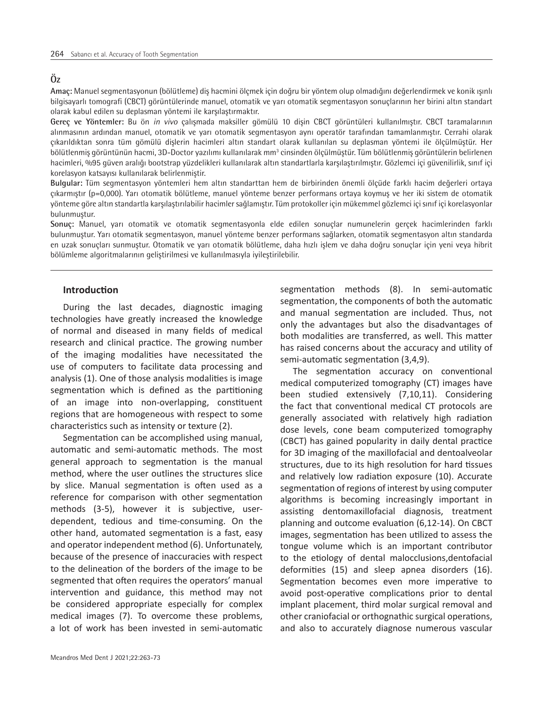# **Öz**

**Amaç:** Manuel segmentasyonun (bölütleme) diş hacmini ölçmek için doğru bir yöntem olup olmadığını değerlendirmek ve konik ışınlı bilgisayarlı tomografi (CBCT) görüntülerinde manuel, otomatik ve yarı otomatik segmentasyon sonuçlarının her birini altın standart olarak kabul edilen su deplasman yöntemi ile karşılaştırmaktır.

**Gereç ve Yöntemler:** Bu ön *in vivo* çalışmada maksiller gömülü 10 dişin CBCT görüntüleri kullanılmıştır. CBCT taramalarının alınmasının ardından manuel, otomatik ve yarı otomatik segmentasyon aynı operatör tarafından tamamlanmıştır. Cerrahi olarak çıkarıldıktan sonra tüm gömülü dişlerin hacimleri altın standart olarak kullanılan su deplasman yöntemi ile ölçülmüştür. Her bölütlenmiş görüntünün hacmi, 3D-Doctor yazılımı kullanılarak mm<sup>3</sup> cinsinden ölçülmüştür. Tüm bölütlenmiş görüntülerin belirlenen hacimleri, %95 güven aralığı bootstrap yüzdelikleri kullanılarak altın standartlarla karşılaştırılmıştır. Gözlemci içi güvenilirlik, sınıf içi korelasyon katsayısı kullanılarak belirlenmiştir.

**Bulgular:** Tüm segmentasyon yöntemleri hem altın standarttan hem de birbirinden önemli ölçüde farklı hacim değerleri ortaya çıkarmıştır (p=0,000). Yarı otomatik bölütleme, manuel yönteme benzer performans ortaya koymuş ve her iki sistem de otomatik yönteme göre altın standartla karşılaştırılabilir hacimler sağlamıştır. Tüm protokoller için mükemmel gözlemci içi sınıf içi korelasyonlar bulunmuştur.

**Sonuç:** Manuel, yarı otomatik ve otomatik segmentasyonla elde edilen sonuçlar numunelerin gerçek hacimlerinden farklı bulunmuştur. Yarı otomatik segmentasyon, manuel yönteme benzer performans sağlarken, otomatik segmentasyon altın standarda en uzak sonuçları sunmuştur. Otomatik ve yarı otomatik bölütleme, daha hızlı işlem ve daha doğru sonuçlar için yeni veya hibrit bölümleme algoritmalarının geliştirilmesi ve kullanılmasıyla iyileştirilebilir.

## **Introduction**

During the last decades, diagnostic imaging technologies have greatly increased the knowledge of normal and diseased in many fields of medical research and clinical practice. The growing number of the imaging modalities have necessitated the use of computers to facilitate data processing and analysis (1). One of those analysis modalities is image segmentation which is defined as the partitioning of an image into non-overlapping, constituent regions that are homogeneous with respect to some characteristics such as intensity or texture (2).

Segmentation can be accomplished using manual, automatic and semi-automatic methods. The most general approach to segmentation is the manual method, where the user outlines the structures slice by slice. Manual segmentation is often used as a reference for comparison with other segmentation methods (3-5), however it is subjective, userdependent, tedious and time-consuming. On the other hand, automated segmentation is a fast, easy and operator independent method (6). Unfortunately, because of the presence of inaccuracies with respect to the delineation of the borders of the image to be segmented that often requires the operators' manual intervention and guidance, this method may not be considered appropriate especially for complex medical images (7). To overcome these problems, a lot of work has been invested in semi-automatic segmentation methods (8). In semi-automatic segmentation, the components of both the automatic and manual segmentation are included. Thus, not only the advantages but also the disadvantages of both modalities are transferred, as well. This matter has raised concerns about the accuracy and utility of semi-automatic segmentation (3,4,9).

The segmentation accuracy on conventional medical computerized tomography (CT) images have been studied extensively (7,10,11). Considering the fact that conventional medical CT protocols are generally associated with relatively high radiation dose levels, cone beam computerized tomography (CBCT) has gained popularity in daily dental practice for 3D imaging of the maxillofacial and dentoalveolar structures, due to its high resolution for hard tissues and relatively low radiation exposure (10). Accurate segmentation of regions of interest by using computer algorithms is becoming increasingly important in assisting dentomaxillofacial diagnosis, treatment planning and outcome evaluation (6,12-14). On CBCT images, segmentation has been utilized to assess the tongue volume which is an important contributor to the etiology of dental malocclusions,dentofacial deformities (15) and sleep apnea disorders (16). Segmentation becomes even more imperative to avoid post-operative complications prior to dental implant placement, third molar surgical removal and other craniofacial or orthognathic surgical operations, and also to accurately diagnose numerous vascular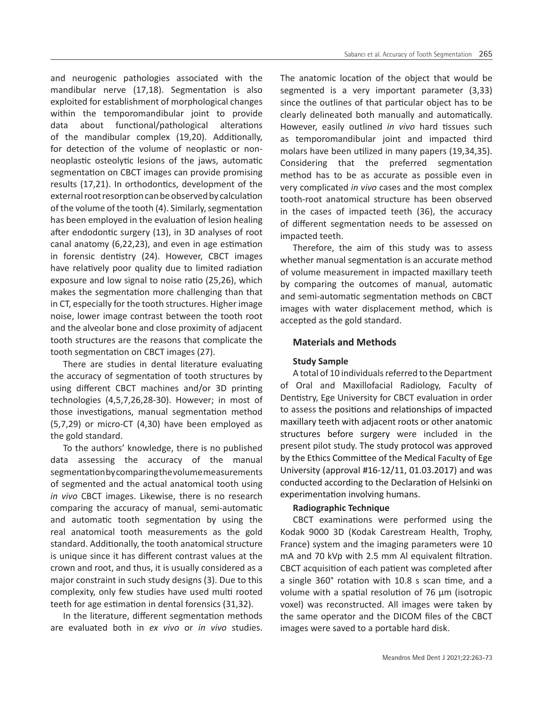and neurogenic pathologies associated with the mandibular nerve (17,18). Segmentation is also exploited for establishment of morphological changes within the temporomandibular joint to provide data about functional/pathological alterations of the mandibular complex (19,20). Additionally, for detection of the volume of neoplastic or nonneoplastic osteolytic lesions of the jaws, automatic segmentation on CBCT images can provide promising results (17,21). In orthodontics, development of the external root resorption can be observed by calculation of the volume of the tooth (4). Similarly, segmentation has been employed in the evaluation of lesion healing after endodontic surgery (13), in 3D analyses of root canal anatomy (6,22,23), and even in age estimation in forensic dentistry (24). However, CBCT images have relatively poor quality due to limited radiation exposure and low signal to noise ratio (25,26), which makes the segmentation more challenging than that in CT, especially for the tooth structures. Higher image noise, lower image contrast between the tooth root and the alveolar bone and close proximity of adjacent tooth structures are the reasons that complicate the tooth segmentation on CBCT images (27).

There are studies in dental literature evaluating the accuracy of segmentation of tooth structures by using different CBCT machines and/or 3D printing technologies (4,5,7,26,28-30). However; in most of those investigations, manual segmentation method (5,7,29) or micro-CT (4,30) have been employed as the gold standard.

To the authors' knowledge, there is no published data assessing the accuracy of the manual segmentation by comparing the volume measurements of segmented and the actual anatomical tooth using *in vivo* CBCT images. Likewise, there is no research comparing the accuracy of manual, semi-automatic and automatic tooth segmentation by using the real anatomical tooth measurements as the gold standard. Additionally, the tooth anatomical structure is unique since it has different contrast values at the crown and root, and thus, it is usually considered as a major constraint in such study designs (3). Due to this complexity, only few studies have used multi rooted teeth for age estimation in dental forensics (31,32).

In the literature, different segmentation methods are evaluated both in *ex vivo* or *in vivo* studies.

The anatomic location of the object that would be segmented is a very important parameter (3,33) since the outlines of that particular object has to be clearly delineated both manually and automatically. However, easily outlined *in vivo* hard tissues such as temporomandibular joint and impacted third molars have been utilized in many papers (19,34,35). Considering that the preferred segmentation method has to be as accurate as possible even in very complicated *in vivo* cases and the most complex tooth-root anatomical structure has been observed in the cases of impacted teeth (36), the accuracy of different segmentation needs to be assessed on impacted teeth.

Therefore, the aim of this study was to assess whether manual segmentation is an accurate method of volume measurement in impacted maxillary teeth by comparing the outcomes of manual, automatic and semi-automatic segmentation methods on CBCT images with water displacement method, which is accepted as the gold standard.

# **Materials and Methods**

# **Study Sample**

A total of 10 individuals referred to the Department of Oral and Maxillofacial Radiology, Faculty of Dentistry, Ege University for CBCT evaluation in order to assess the positions and relationships of impacted maxillary teeth with adjacent roots or other anatomic structures before surgery were included in the present pilot study. The study protocol was approved by the Ethics Committee of the Medical Faculty of Ege University (approval #16-12/11, 01.03.2017) and was conducted according to the Declaration of Helsinki on experimentation involving humans.

# **Radiographic Technique**

CBCT examinations were performed using the Kodak 9000 3D (Kodak Carestream Health, Trophy, France) system and the imaging parameters were 10 mA and 70 kVp with 2.5 mm Al equivalent filtration. CBCT acquisition of each patient was completed after a single 360° rotation with 10.8 s scan time, and a volume with a spatial resolution of 76 μm (isotropic voxel) was reconstructed. All images were taken by the same operator and the DICOM files of the CBCT images were saved to a portable hard disk.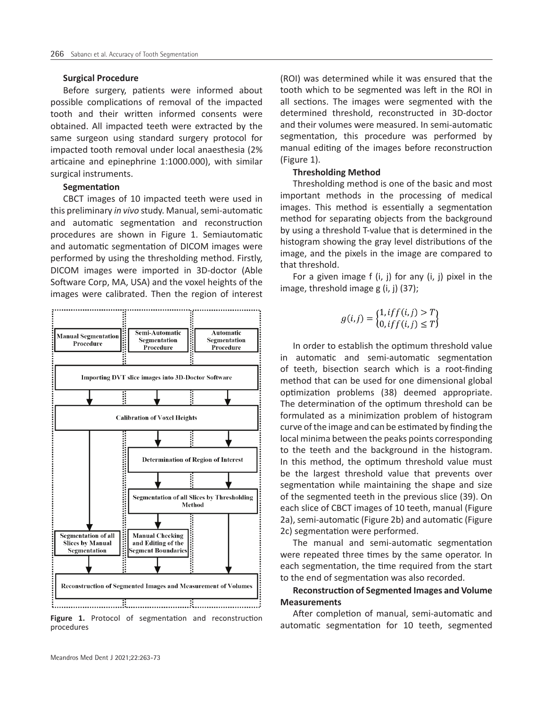## **Surgical Procedure**

Before surgery, patients were informed about possible complications of removal of the impacted tooth and their written informed consents were obtained. All impacted teeth were extracted by the same surgeon using standard surgery protocol for impacted tooth removal under local anaesthesia (2% articaine and epinephrine 1:1000.000), with similar surgical instruments.

#### **Segmentation**

CBCT images of 10 impacted teeth were used in this preliminary *in vivo* study. Manual, semi-automatic and automatic segmentation and reconstruction procedures are shown in Figure 1. Semiautomatic and automatic segmentation of DICOM images were performed by using the thresholding method. Firstly, DICOM images were imported in 3D-doctor (Able Software Corp, MA, USA) and the voxel heights of the images were calibrated. Then the region of interest



procedures

(ROI) was determined while it was ensured that the tooth which to be segmented was left in the ROI in all sections. The images were segmented with the determined threshold, reconstructed in 3D-doctor and their volumes were measured. In semi-automatic segmentation, this procedure was performed by manual editing of the images before reconstruction (Figure 1).

## **Thresholding Method**

Thresholding method is one of the basic and most important methods in the processing of medical images. This method is essentially a segmentation method for separating objects from the background by using a threshold T-value that is determined in the histogram showing the gray level distributions of the image, and the pixels in the image are compared to that threshold.

For a given image  $f(i, j)$  for any  $(i, j)$  pixel in the image, threshold image g (i, j) (37);

$$
g(i,j) = \begin{cases} 1, if f(i,j) > T \\ 0, if f(i,j) \le T \end{cases}
$$

In order to establish the optimum threshold value in automatic and semi-automatic segmentation of teeth, bisection search which is a root-finding method that can be used for one dimensional global optimization problems (38) deemed appropriate. The determination of the optimum threshold can be formulated as a minimization problem of histogram curve of the image and can be estimated by finding the local minima between the peaks points corresponding to the teeth and the background in the histogram. In this method, the optimum threshold value must be the largest threshold value that prevents over segmentation while maintaining the shape and size of the segmented teeth in the previous slice (39). On each slice of CBCT images of 10 teeth, manual (Figure 2a), semi-automatic (Figure 2b) and automatic (Figure 2c) segmentation were performed.

The manual and semi-automatic segmentation were repeated three times by the same operator. In each segmentation, the time required from the start to the end of segmentation was also recorded.

# **Reconstruction of Segmented Images and Volume Measurements**

After completion of manual, semi-automatic and Figure 1. Protocol of segmentation and reconstruction<br>automatic segmentation for 10 teeth, segmented<br>automatic segmentation for 10 teeth, segmented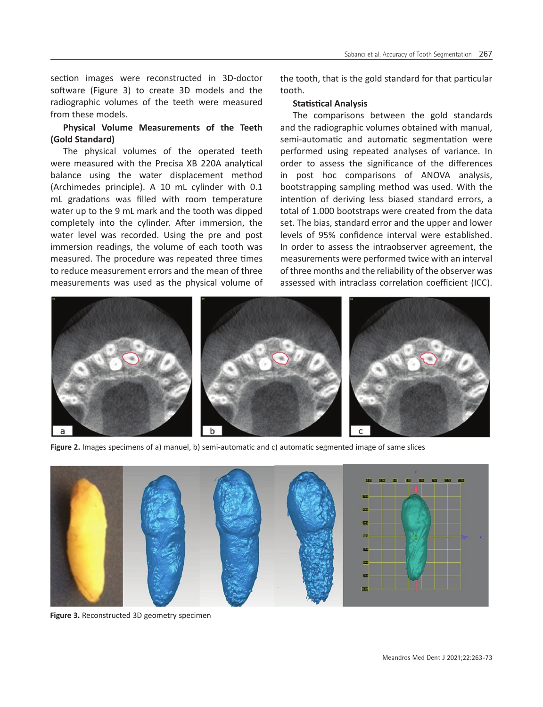section images were reconstructed in 3D-doctor software (Figure 3) to create 3D models and the radiographic volumes of the teeth were measured from these models.

# **Physical Volume Measurements of the Teeth (Gold Standard)**

The physical volumes of the operated teeth were measured with the Precisa XB 220A analytical balance using the water displacement method (Archimedes principle). A 10 mL cylinder with 0.1 mL gradations was filled with room temperature water up to the 9 mL mark and the tooth was dipped completely into the cylinder. After immersion, the water level was recorded. Using the pre and post immersion readings, the volume of each tooth was measured. The procedure was repeated three times to reduce measurement errors and the mean of three measurements was used as the physical volume of the tooth, that is the gold standard for that particular tooth.

## **Statistical Analysis**

The comparisons between the gold standards and the radiographic volumes obtained with manual, semi-automatic and automatic segmentation were performed using repeated analyses of variance. In order to assess the significance of the differences in post hoc comparisons of ANOVA analysis, bootstrapping sampling method was used. With the intention of deriving less biased standard errors, a total of 1.000 bootstraps were created from the data set. The bias, standard error and the upper and lower levels of 95% confidence interval were established. In order to assess the intraobserver agreement, the measurements were performed twice with an interval of three months and the reliability of the observer was assessed with intraclass correlation coefficient (ICC).



**Figure 2.** Images specimens of a) manuel, b) semi-automatic and c) automatic segmented image of same slices



**Figure 3.** Reconstructed 3D geometry specimen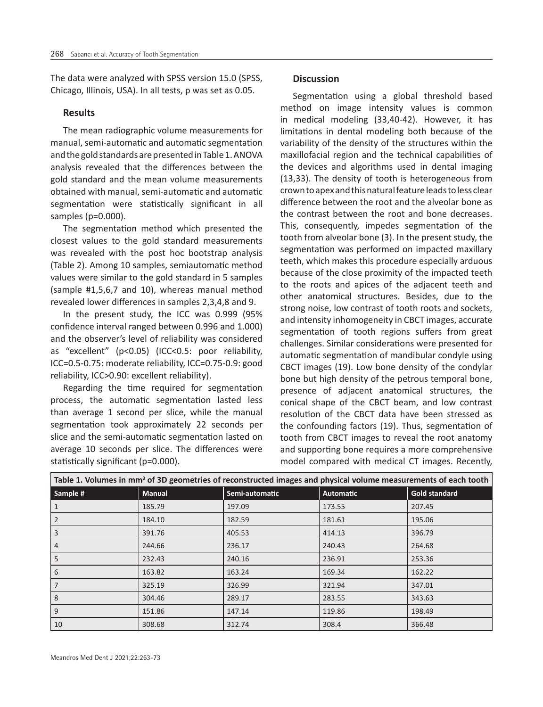The data were analyzed with SPSS version 15.0 (SPSS, Chicago, Illinois, USA). In all tests, p was set as 0.05.

## **Results**

The mean radiographic volume measurements for manual, semi-automatic and automatic segmentation and the gold standards are presented in Table 1. ANOVA analysis revealed that the differences between the gold standard and the mean volume measurements obtained with manual, semi-automatic and automatic segmentation were statistically significant in all samples (p=0.000).

The segmentation method which presented the closest values to the gold standard measurements was revealed with the post hoc bootstrap analysis (Table 2). Among 10 samples, semiautomatic method values were similar to the gold standard in 5 samples (sample #1,5,6,7 and 10), whereas manual method revealed lower differences in samples 2,3,4,8 and 9.

In the present study, the ICC was 0.999 (95% confidence interval ranged between 0.996 and 1.000) and the observer's level of reliability was considered as "excellent" (p<0.05) (ICC<0.5: poor reliability, ICC=0.5-0.75: moderate reliability, ICC=0.75-0.9: good reliability, ICC>0.90: excellent reliability).

Regarding the time required for segmentation process, the automatic segmentation lasted less than average 1 second per slice, while the manual segmentation took approximately 22 seconds per slice and the semi-automatic segmentation lasted on average 10 seconds per slice. The differences were statistically significant (p=0.000).

## **Discussion**

Segmentation using a global threshold based method on image intensity values is common in medical modeling (33,40-42). However, it has limitations in dental modeling both because of the variability of the density of the structures within the maxillofacial region and the technical capabilities of the devices and algorithms used in dental imaging (13,33). The density of tooth is heterogeneous from crown to apex and this natural feature leads to less clear difference between the root and the alveolar bone as the contrast between the root and bone decreases. This, consequently, impedes segmentation of the tooth from alveolar bone (3). In the present study, the segmentation was performed on impacted maxillary teeth, which makes this procedure especially arduous because of the close proximity of the impacted teeth to the roots and apices of the adjacent teeth and other anatomical structures. Besides, due to the strong noise, low contrast of tooth roots and sockets, and intensity inhomogeneity in CBCT images, accurate segmentation of tooth regions suffers from great challenges. Similar considerations were presented for automatic segmentation of mandibular condyle using CBCT images (19). Low bone density of the condylar bone but high density of the petrous temporal bone, presence of adjacent anatomical structures, the conical shape of the CBCT beam, and low contrast resolution of the CBCT data have been stressed as the confounding factors (19). Thus, segmentation of tooth from CBCT images to reveal the root anatomy and supporting bone requires a more comprehensive model compared with medical CT images. Recently,

| Table 1. Volumes in mm <sup>3</sup> of 3D geometries of reconstructed images and physical volume measurements of each tooth |               |                |           |                      |  |  |  |  |
|-----------------------------------------------------------------------------------------------------------------------------|---------------|----------------|-----------|----------------------|--|--|--|--|
| Sample #                                                                                                                    | <b>Manual</b> | Semi-automatic | Automatic | <b>Gold standard</b> |  |  |  |  |
|                                                                                                                             | 185.79        | 197.09         | 173.55    | 207.45               |  |  |  |  |
| 2                                                                                                                           | 184.10        | 182.59         | 181.61    | 195.06               |  |  |  |  |
| 3                                                                                                                           | 391.76        | 405.53         | 414.13    | 396.79               |  |  |  |  |
| 4                                                                                                                           | 244.66        | 236.17         | 240.43    | 264.68               |  |  |  |  |
| 5                                                                                                                           | 232.43        | 240.16         | 236.91    | 253.36               |  |  |  |  |
| 6                                                                                                                           | 163.82        | 163.24         | 169.34    | 162.22               |  |  |  |  |
|                                                                                                                             | 325.19        | 326.99         | 321.94    | 347.01               |  |  |  |  |
| 8                                                                                                                           | 304.46        | 289.17         | 283.55    | 343.63               |  |  |  |  |
| 9                                                                                                                           | 151.86        | 147.14         | 119.86    | 198.49               |  |  |  |  |
| 10                                                                                                                          | 308.68        | 312.74         | 308.4     | 366.48               |  |  |  |  |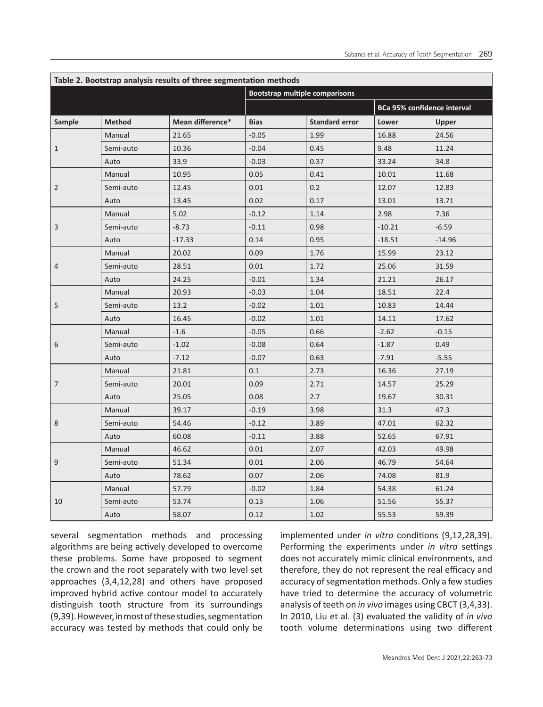| Table 2. Bootstrap analysis results of three segmentation methods |               |                  |                                       |                       |                                    |          |  |  |  |
|-------------------------------------------------------------------|---------------|------------------|---------------------------------------|-----------------------|------------------------------------|----------|--|--|--|
|                                                                   |               |                  | <b>Bootstrap multiple comparisons</b> |                       |                                    |          |  |  |  |
|                                                                   |               |                  |                                       |                       | <b>BCa 95% confidence interval</b> |          |  |  |  |
| Sample                                                            | <b>Method</b> | Mean difference* | <b>Bias</b>                           | <b>Standard error</b> | Lower                              | Upper    |  |  |  |
| $\mathbf{1}$                                                      | Manual        | 21.65            | $-0.05$                               | 1.99                  | 16.88                              | 24.56    |  |  |  |
|                                                                   | Semi-auto     | 10.36            | $-0.04$                               | 0.45                  | 9.48                               | 11.24    |  |  |  |
|                                                                   | Auto          | 33.9             | $-0.03$                               | 0.37                  | 33.24                              | 34.8     |  |  |  |
| 2                                                                 | Manual        | 10.95            | 0.05                                  | 0.41                  | 10.01                              | 11.68    |  |  |  |
|                                                                   | Semi-auto     | 12.45            | 0.01                                  | 0.2                   | 12.07                              | 12.83    |  |  |  |
|                                                                   | Auto          | 13.45            | 0.02                                  | 0.17                  | 13.01                              | 13.71    |  |  |  |
| 3                                                                 | Manual        | 5.02             | $-0.12$                               | 1.14                  | 2.98                               | 7.36     |  |  |  |
|                                                                   | Semi-auto     | $-8.73$          | $-0.11$                               | 0.98                  | $-10.21$                           | $-6.59$  |  |  |  |
|                                                                   | Auto          | $-17.33$         | 0.14                                  | 0.95                  | $-18.51$                           | $-14.96$ |  |  |  |
| 4                                                                 | Manual        | 20.02            | 0.09                                  | 1.76                  | 15.99                              | 23.12    |  |  |  |
|                                                                   | Semi-auto     | 28.51            | 0.01                                  | 1.72                  | 25.06                              | 31.59    |  |  |  |
|                                                                   | Auto          | 24.25            | $-0.01$                               | 1.34                  | 21.21                              | 26.17    |  |  |  |
| 5                                                                 | Manual        | 20.93            | $-0.03$                               | 1.04                  | 18.51                              | 22.4     |  |  |  |
|                                                                   | Semi-auto     | 13.2             | $-0.02$                               | 1.01                  | 10.83                              | 14.44    |  |  |  |
|                                                                   | Auto          | 16.45            | $-0.02$                               | 1.01                  | 14.11                              | 17.62    |  |  |  |
| 6                                                                 | Manual        | $-1.6$           | $-0.05$                               | 0.66                  | $-2.62$                            | $-0.15$  |  |  |  |
|                                                                   | Semi-auto     | $-1.02$          | $-0.08$                               | 0.64                  | $-1.87$                            | 0.49     |  |  |  |
|                                                                   | Auto          | $-7.12$          | $-0.07$                               | 0.63                  | $-7.91$                            | $-5.55$  |  |  |  |
| 7                                                                 | Manual        | 21.81            | 0.1                                   | 2.73                  | 16.36                              | 27.19    |  |  |  |
|                                                                   | Semi-auto     | 20.01            | 0.09                                  | 2.71                  | 14.57                              | 25.29    |  |  |  |
|                                                                   | Auto          | 25.05            | 0.08                                  | 2.7                   | 19.67                              | 30.31    |  |  |  |
| 8                                                                 | Manual        | 39.17            | $-0.19$                               | 3.98                  | 31.3                               | 47.3     |  |  |  |
|                                                                   | Semi-auto     | 54.46            | $-0.12$                               | 3.89                  | 47.01                              | 62.32    |  |  |  |
|                                                                   | Auto          | 60.08            | $-0.11$                               | 3.88                  | 52.65                              | 67.91    |  |  |  |
| 9                                                                 | Manual        | 46.62            | 0.01                                  | 2.07                  | 42.03                              | 49.98    |  |  |  |
|                                                                   | Semi-auto     | 51.34            | 0.01                                  | 2.06                  | 46.79                              | 54.64    |  |  |  |
|                                                                   | Auto          | 78.62            | 0.07                                  | 2.06                  | 74.08                              | 81.9     |  |  |  |
| 10                                                                | Manual        | 57.79            | $-0.02$                               | 1.84                  | 54.38                              | 61.24    |  |  |  |
|                                                                   | Semi-auto     | 53.74            | 0.13                                  | 1.06                  | 51.56                              | 55.37    |  |  |  |
|                                                                   | Auto          | 58.07            | 0.12                                  | 1.02                  | 55.53                              | 59.39    |  |  |  |

several segmentation methods and processing algorithms are being actively developed to overcome these problems. Some have proposed to segment the crown and the root separately with two level set approaches (3,4,12,28) and others have proposed improved hybrid active contour model to accurately distinguish tooth structure from its surroundings (9,39). However, in most of these studies, segmentation accuracy was tested by methods that could only be

implemented under *in vitro* conditions (9,12,28,39). Performing the experiments under *in vitro* settings does not accurately mimic clinical environments, and therefore, they do not represent the real efficacy and accuracy of segmentation methods. Only a few studies have tried to determine the accuracy of volumetric analysis of teeth on *in vivo* images using CBCT (3,4,33). In 2010, Liu et al. (3) evaluated the validity of *in vivo* tooth volume determinations using two different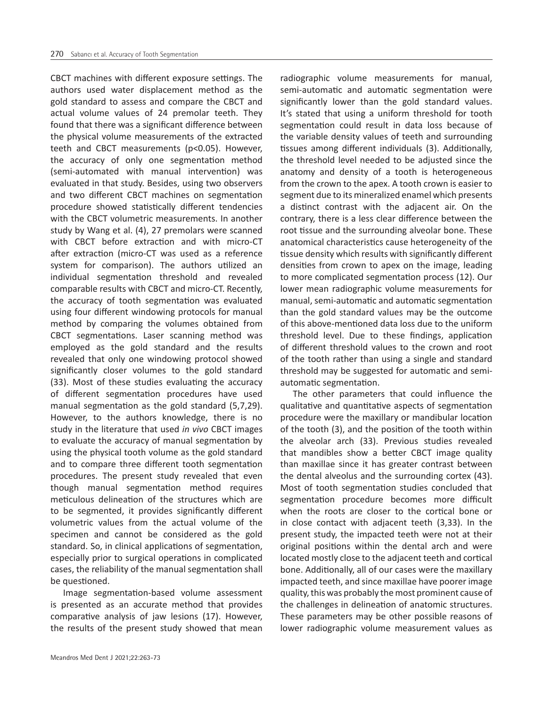CBCT machines with different exposure settings. The authors used water displacement method as the gold standard to assess and compare the CBCT and actual volume values of 24 premolar teeth. They found that there was a significant difference between the physical volume measurements of the extracted teeth and CBCT measurements (p<0.05). However, the accuracy of only one segmentation method (semi-automated with manual intervention) was evaluated in that study. Besides, using two observers and two different CBCT machines on segmentation procedure showed statistically different tendencies with the CBCT volumetric measurements. In another study by Wang et al. (4), 27 premolars were scanned with CBCT before extraction and with micro-CT after extraction (micro-CT was used as a reference system for comparison). The authors utilized an individual segmentation threshold and revealed comparable results with CBCT and micro-CT. Recently, the accuracy of tooth segmentation was evaluated using four different windowing protocols for manual method by comparing the volumes obtained from CBCT segmentations. Laser scanning method was employed as the gold standard and the results revealed that only one windowing protocol showed significantly closer volumes to the gold standard (33). Most of these studies evaluating the accuracy of different segmentation procedures have used manual segmentation as the gold standard (5,7,29). However, to the authors knowledge, there is no study in the literature that used *in vivo* CBCT images to evaluate the accuracy of manual segmentation by using the physical tooth volume as the gold standard and to compare three different tooth segmentation procedures. The present study revealed that even though manual segmentation method requires meticulous delineation of the structures which are to be segmented, it provides significantly different volumetric values from the actual volume of the specimen and cannot be considered as the gold standard. So, in clinical applications of segmentation, especially prior to surgical operations in complicated cases, the reliability of the manual segmentation shall be questioned.

Image segmentation-based volume assessment is presented as an accurate method that provides comparative analysis of jaw lesions (17). However, the results of the present study showed that mean

radiographic volume measurements for manual, semi-automatic and automatic segmentation were significantly lower than the gold standard values. It's stated that using a uniform threshold for tooth segmentation could result in data loss because of the variable density values of teeth and surrounding tissues among different individuals (3). Additionally, the threshold level needed to be adjusted since the anatomy and density of a tooth is heterogeneous from the crown to the apex. A tooth crown is easier to segment due to its mineralized enamel which presents a distinct contrast with the adjacent air. On the contrary, there is a less clear difference between the root tissue and the surrounding alveolar bone. These anatomical characteristics cause heterogeneity of the tissue density which results with significantly different densities from crown to apex on the image, leading to more complicated segmentation process (12). Our lower mean radiographic volume measurements for manual, semi-automatic and automatic segmentation than the gold standard values may be the outcome of this above-mentioned data loss due to the uniform threshold level. Due to these findings, application of different threshold values to the crown and root of the tooth rather than using a single and standard threshold may be suggested for automatic and semiautomatic segmentation.

The other parameters that could influence the qualitative and quantitative aspects of segmentation procedure were the maxillary or mandibular location of the tooth (3), and the position of the tooth within the alveolar arch (33). Previous studies revealed that mandibles show a better CBCT image quality than maxillae since it has greater contrast between the dental alveolus and the surrounding cortex (43). Most of tooth segmentation studies concluded that segmentation procedure becomes more difficult when the roots are closer to the cortical bone or in close contact with adjacent teeth (3,33). In the present study, the impacted teeth were not at their original positions within the dental arch and were located mostly close to the adjacent teeth and cortical bone. Additionally, all of our cases were the maxillary impacted teeth, and since maxillae have poorer image quality, this was probably the most prominent cause of the challenges in delineation of anatomic structures. These parameters may be other possible reasons of lower radiographic volume measurement values as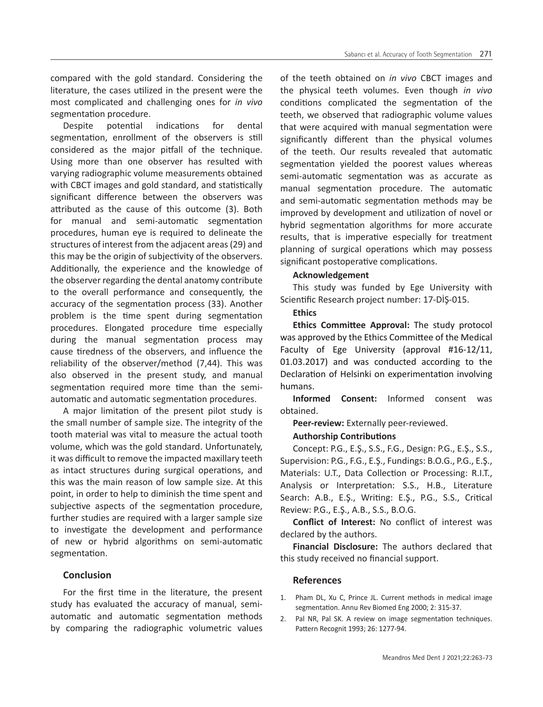compared with the gold standard. Considering the literature, the cases utilized in the present were the most complicated and challenging ones for *in vivo* segmentation procedure.

Despite potential indications for dental segmentation, enrollment of the observers is still considered as the major pitfall of the technique. Using more than one observer has resulted with varying radiographic volume measurements obtained with CBCT images and gold standard, and statistically significant difference between the observers was attributed as the cause of this outcome (3). Both for manual and semi-automatic segmentation procedures, human eye is required to delineate the structures of interest from the adjacent areas (29) and this may be the origin of subjectivity of the observers. Additionally, the experience and the knowledge of the observer regarding the dental anatomy contribute to the overall performance and consequently, the accuracy of the segmentation process (33). Another problem is the time spent during segmentation procedures. Elongated procedure time especially during the manual segmentation process may cause tiredness of the observers, and influence the reliability of the observer/method (7,44). This was also observed in the present study, and manual segmentation required more time than the semiautomatic and automatic segmentation procedures.

A major limitation of the present pilot study is the small number of sample size. The integrity of the tooth material was vital to measure the actual tooth volume, which was the gold standard. Unfortunately, it was difficult to remove the impacted maxillary teeth as intact structures during surgical operations, and this was the main reason of low sample size. At this point, in order to help to diminish the time spent and subjective aspects of the segmentation procedure, further studies are required with a larger sample size to investigate the development and performance of new or hybrid algorithms on semi-automatic segmentation.

## **Conclusion**

For the first time in the literature, the present study has evaluated the accuracy of manual, semiautomatic and automatic segmentation methods by comparing the radiographic volumetric values of the teeth obtained on *in vivo* CBCT images and the physical teeth volumes. Even though *in vivo* conditions complicated the segmentation of the teeth, we observed that radiographic volume values that were acquired with manual segmentation were significantly different than the physical volumes of the teeth. Our results revealed that automatic segmentation yielded the poorest values whereas semi-automatic segmentation was as accurate as manual segmentation procedure. The automatic and semi-automatic segmentation methods may be improved by development and utilization of novel or hybrid segmentation algorithms for more accurate results, that is imperative especially for treatment planning of surgical operations which may possess significant postoperative complications.

## **Acknowledgement**

This study was funded by Ege University with Scientific Research project number: 17-DİŞ-015.

## **Ethics**

**Ethics Committee Approval:** The study protocol was approved by the Ethics Committee of the Medical Faculty of Ege University (approval #16-12/11, 01.03.2017) and was conducted according to the Declaration of Helsinki on experimentation involving humans.

**Informed Consent:** Informed consent was obtained.

**Peer-review:** Externally peer-reviewed.

#### **Authorship Contributions**

Concept: P.G., E.Ş., S.S., F.G., Design: P.G., E.Ş., S.S., Supervision: P.G., F.G., E.Ş., Fundings: B.O.G., P.G., E.Ş., Materials: U.T., Data Collection or Processing: R.I.T., Analysis or Interpretation: S.S., H.B., Literature Search: A.B., E.Ş., Writing: E.Ş., P.G., S.S., Critical Review: P.G., E.Ş., A.B., S.S., B.O.G.

**Conflict of Interest:** No conflict of interest was declared by the authors.

**Financial Disclosure:** The authors declared that this study received no financial support.

# **References**

- 1. Pham DL, Xu C, Prince JL. Current methods in medical image segmentation. Annu Rev Biomed Eng 2000; 2: 315-37.
- 2. Pal NR, Pal SK. A review on image segmentation techniques. Pattern Recognit 1993; 26: 1277-94.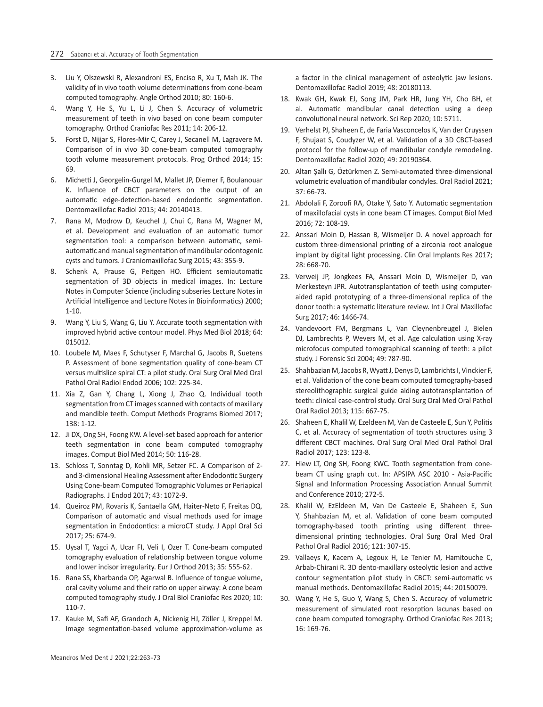- 3. Liu Y, Olszewski R, Alexandroni ES, Enciso R, Xu T, Mah JK. The validity of in vivo tooth volume determinations from cone-beam computed tomography. Angle Orthod 2010; 80: 160-6.
- 4. Wang Y, He S, Yu L, Li J, Chen S. Accuracy of volumetric measurement of teeth in vivo based on cone beam computer tomography. Orthod Craniofac Res 2011; 14: 206-12.
- 5. Forst D, Nijjar S, Flores-Mir C, Carey J, Secanell M, Lagravere M. Comparison of in vivo 3D cone-beam computed tomography tooth volume measurement protocols. Prog Orthod 2014; 15: 69.
- 6. Michetti J, Georgelin-Gurgel M, Mallet JP, Diemer F, Boulanouar K. Influence of CBCT parameters on the output of an automatic edge-detection-based endodontic segmentation. Dentomaxillofac Radiol 2015; 44: 20140413.
- 7. Rana M, Modrow D, Keuchel J, Chui C, Rana M, Wagner M, et al. Development and evaluation of an automatic tumor segmentation tool: a comparison between automatic, semiautomatic and manual segmentation of mandibular odontogenic cysts and tumors. J Craniomaxillofac Surg 2015; 43: 355-9.
- 8. Schenk A, Prause G, Peitgen HO. Efficient semiautomatic segmentation of 3D objects in medical images. In: Lecture Notes in Computer Science (including subseries Lecture Notes in Artificial Intelligence and Lecture Notes in Bioinformatics) 2000; 1-10.
- 9. Wang Y, Liu S, Wang G, Liu Y. Accurate tooth segmentation with improved hybrid active contour model. Phys Med Biol 2018; 64: 015012.
- 10. Loubele M, Maes F, Schutyser F, Marchal G, Jacobs R, Suetens P. Assessment of bone segmentation quality of cone-beam CT versus multislice spiral CT: a pilot study. Oral Surg Oral Med Oral Pathol Oral Radiol Endod 2006; 102: 225-34.
- 11. Xia Z, Gan Y, Chang L, Xiong J, Zhao Q. Individual tooth segmentation from CT images scanned with contacts of maxillary and mandible teeth. Comput Methods Programs Biomed 2017; 138: 1-12.
- 12. Ji DX, Ong SH, Foong KW. A level-set based approach for anterior teeth segmentation in cone beam computed tomography images. Comput Biol Med 2014; 50: 116-28.
- 13. Schloss T, Sonntag D, Kohli MR, Setzer FC. A Comparison of 2 and 3-dimensional Healing Assessment after Endodontic Surgery Using Cone-beam Computed Tomographic Volumes or Periapical Radiographs. J Endod 2017; 43: 1072-9.
- 14. Queiroz PM, Rovaris K, Santaella GM, Haiter-Neto F, Freitas DQ. Comparison of automatic and visual methods used for image segmentation in Endodontics: a microCT study. J Appl Oral Sci 2017; 25: 674-9.
- 15. Uysal T, Yagci A, Ucar FI, Veli I, Ozer T. Cone-beam computed tomography evaluation of relationship between tongue volume and lower incisor irregularity. Eur J Orthod 2013; 35: 555-62.
- 16. Rana SS, Kharbanda OP, Agarwal B. Influence of tongue volume, oral cavity volume and their ratio on upper airway: A cone beam computed tomography study. J Oral Biol Craniofac Res 2020; 10: 110-7.
- 17. Kauke M, Safi AF, Grandoch A, Nickenig HJ, Zöller J, Kreppel M. Image segmentation-based volume approximation-volume as

a factor in the clinical management of osteolytic jaw lesions. Dentomaxillofac Radiol 2019; 48: 20180113.

- 18. Kwak GH, Kwak EJ, Song JM, Park HR, Jung YH, Cho BH, et al. Automatic mandibular canal detection using a deep convolutional neural network. Sci Rep 2020; 10: 5711.
- 19. Verhelst PJ, Shaheen E, de Faria Vasconcelos K, Van der Cruyssen F, Shujaat S, Coudyzer W, et al. Validation of a 3D CBCT-based protocol for the follow-up of mandibular condyle remodeling. Dentomaxillofac Radiol 2020; 49: 20190364.
- 20. Altan Şallı G, Öztürkmen Z. Semi-automated three-dimensional volumetric evaluation of mandibular condyles. Oral Radiol 2021; 37: 66-73.
- 21. Abdolali F, Zoroofi RA, Otake Y, Sato Y. Automatic segmentation of maxillofacial cysts in cone beam CT images. Comput Biol Med 2016; 72: 108-19.
- 22. Anssari Moin D, Hassan B, Wismeijer D. A novel approach for custom three-dimensional printing of a zirconia root analogue implant by digital light processing. Clin Oral Implants Res 2017; 28: 668-70.
- 23. Verweij JP, Jongkees FA, Anssari Moin D, Wismeijer D, van Merkesteyn JPR. Autotransplantation of teeth using computeraided rapid prototyping of a three-dimensional replica of the donor tooth: a systematic literature review. Int J Oral Maxillofac Surg 2017; 46: 1466-74.
- 24. Vandevoort FM, Bergmans L, Van Cleynenbreugel J, Bielen DJ, Lambrechts P, Wevers M, et al. Age calculation using X-ray microfocus computed tomographical scanning of teeth: a pilot study. J Forensic Sci 2004; 49: 787-90.
- 25. Shahbazian M, Jacobs R, Wyatt J, Denys D, Lambrichts I, Vinckier F, et al. Validation of the cone beam computed tomography-based stereolithographic surgical guide aiding autotransplantation of teeth: clinical case-control study. Oral Surg Oral Med Oral Pathol Oral Radiol 2013; 115: 667-75.
- 26. Shaheen E, Khalil W, Ezeldeen M, Van de Casteele E, Sun Y, Politis C, et al. Accuracy of segmentation of tooth structures using 3 different CBCT machines. Oral Surg Oral Med Oral Pathol Oral Radiol 2017; 123: 123-8.
- 27. Hiew LT, Ong SH, Foong KWC. Tooth segmentation from conebeam CT using graph cut. In: APSIPA ASC 2010 - Asia-Pacific Signal and Information Processing Association Annual Summit and Conference 2010; 272-5.
- 28. Khalil W, EzEldeen M, Van De Casteele E, Shaheen E, Sun Y, Shahbazian M, et al. Validation of cone beam computed tomography-based tooth printing using different threedimensional printing technologies. Oral Surg Oral Med Oral Pathol Oral Radiol 2016; 121: 307-15.
- 29. Vallaeys K, Kacem A, Legoux H, Le Tenier M, Hamitouche C, Arbab-Chirani R. 3D dento-maxillary osteolytic lesion and active contour segmentation pilot study in CBCT: semi-automatic vs manual methods. Dentomaxillofac Radiol 2015; 44: 20150079.
- 30. Wang Y, He S, Guo Y, Wang S, Chen S. Accuracy of volumetric measurement of simulated root resorption lacunas based on cone beam computed tomography. Orthod Craniofac Res 2013; 16: 169-76.